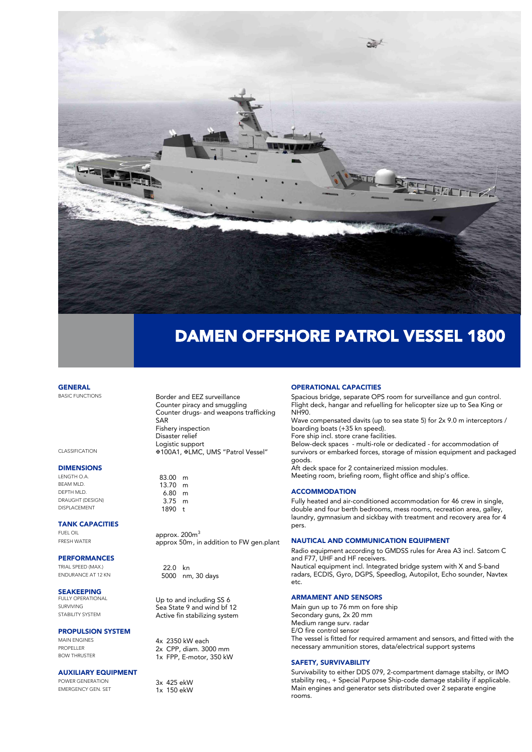

## DAMEN OFFSHORE PATROL VESSEL 1800

**GENERAL** 

### **DIMENSIONS**

LENGTH O.A. 63.00 m<br>BEAM MLD. 63.00 m DEPTH MLD. 6.80 m DRAUGHT (DESIGN) 3.75 m

#### TANK CAPACITIES

### **PERFORMANCES**<br>TRIAL SPEED (MAX.)

TRIAL SPEED (MAX.) 22.0 kn<br>ENDURANCE AT 12 KN 5000 pm

### **SEAKEEPING**<br>FULLY OPERATIONAL

#### PROPULSION SYSTEM

#### AUXILIARY EQUIPMENT

POWER GENERATION POWER GENERATION 3x 425 ekW<br>EMERGENCY GEN. SET 1x 150 ekW

BASIC FUNCTIONS **Border and EEZ surveillance**<br>**Counter piracy and smuggling** Counter drugs- and weapons to Counter drugs- and weapons trafficking SAR<br>Fishery inspection Disaster relief Logistic support CLASSIFICATION **100A1, REMC, UMS "Patrol Vessel"** 

DISPLACEMENT 1890 t Protestant 1890 t

old only approx. 200m.<br>FRESH WATER approx 50m in  $\frac{1}{2}$  approx 50m; in addition to FW gen.plant

5000 nm, 30 days

FULLY OPERATIONAL Up to and including SS 6<br>SURVIVING SURVIVING Sea State 9 and wind bf 12 SURVIVING BELIEVE SEARCH SEARCH STABILITY SYSTEM STATE AND ACTIVE TO A LOCAL TRANSISTION OF THE STATE OF THE S STABILITY SYSTEM Active fin stabilizing system

MAIN ENGINES<br>
PROPELLER
PROPELLER
PROPELLER **2x CPP, diam.** 3000 mm PROPELLER 2X CPP, diam. 3000 mm<br>BOW THRUSTER 250 mm 2x FPP F-motor 350 kV  $B = \frac{1}{2}$  Fig. 111,  $B = \frac{1}{2}$  and  $C = \frac{1}{2}$ 

EMERGENCY GEN. SET 1x 150 ekW

#### OPERATIONAL CAPACITIES

Flight deck hanger and refuelling for helicopter size up to Sea King o Flight deck, hangar and refuelling for helicopter size up to Sea King or

NH90.<br>Wave compensated davits (up to sea state 5) for 2x 9.0 m interceptors / boarding boats (+35 kn speed).

Fore ship incl. store crane facilities.

Below-deck spaces - multi-role or dedicated - for accommodation of Below-deck spaces - multi-role or dedicated - for december detection of survivors or embarked forces, storage of mission equipment and packaged goods.<br>Aft deck space for 2 containerized mission modules.

After space for 2 containerized mission moderns. Meeting room, briefing room, flight office and ship's office.

#### **ACCOMMODATION**

Fully heated and air-conditioned accommodation for 46 crew in single, double and four berth bedrooms, mess rooms, recreation area, galley,  $d$  and  $d$  and  $d$  and  $d$  sick have with treatment and recovery area, for  $d$ laundry, gymnasium and sickbay with treatment and recovery area for 4 pers.

#### NAUTICAL AND COMMUNICATION EQUIPMENT

Radio equipment according to GMDSS rules for Area A3 incl. Satcom C Nautical equipment incl. Integrated bridge system with X and S-band radars, ECDIS, Gyro, DGPS, Speedlog, Autopilot, Echo sounder, Navtex radars, ECDIS, Gyro, DGPS, Speedlog, Autopilot, Echo sounder, Navtex

#### ARMAMENT AND SENSORS

Main gun up to 76 mm on fore ship<br>Secondary guns, 2x 20 mm Medium range surv. radar E/O fire control sensor The vessel is fitted for required armament and sensors, and fitted with the The vessel is fitted for required annument and sensors, and fitted with the necessary ammunition stores, data and support systems in the system of the support system of the system of the

#### SAFETY, SURVIVABILITY

Survivability to either DDS 079, 2-compartment damage stabilty, or IMO stability requires the contract of the special purpose of the state of the state of the state of the state of the state of the state state of the state state of the state of the state of the state of the state of the state Main engines and generator sets distributed over 2 separate engine